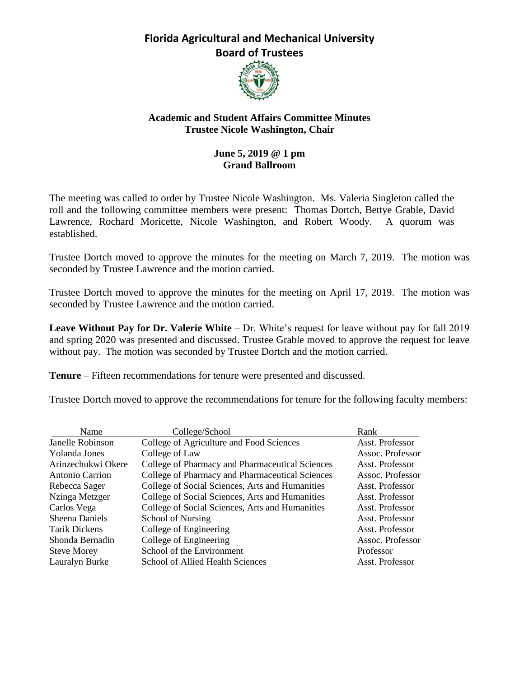

### **Academic and Student Affairs Committee Minutes Trustee Nicole Washington, Chair**

### **June 5, 2019 @ 1 pm Grand Ballroom**

The meeting was called to order by Trustee Nicole Washington. Ms. Valeria Singleton called the roll and the following committee members were present: Thomas Dortch, Bettye Grable, David Lawrence, Rochard Moricette, Nicole Washington, and Robert Woody. A quorum was established.

Trustee Dortch moved to approve the minutes for the meeting on March 7, 2019. The motion was seconded by Trustee Lawrence and the motion carried.

Trustee Dortch moved to approve the minutes for the meeting on April 17, 2019. The motion was seconded by Trustee Lawrence and the motion carried.

**Leave Without Pay for Dr. Valerie White** – Dr. White's request for leave without pay for fall 2019 and spring 2020 was presented and discussed. Trustee Grable moved to approve the request for leave without pay. The motion was seconded by Trustee Dortch and the motion carried.

**Tenure** – Fifteen recommendations for tenure were presented and discussed.

Trustee Dortch moved to approve the recommendations for tenure for the following faculty members:

| Name                  | College/School                                  | Rank             |
|-----------------------|-------------------------------------------------|------------------|
| Janelle Robinson      | College of Agriculture and Food Sciences        | Asst. Professor  |
| Yolanda Jones         | College of Law                                  | Assoc. Professor |
| Arinzechukwi Okere    | College of Pharmacy and Pharmaceutical Sciences | Asst. Professor  |
| Antonio Carrion       | College of Pharmacy and Pharmaceutical Sciences | Assoc. Professor |
| Rebecca Sager         | College of Social Sciences, Arts and Humanities | Asst. Professor  |
| Nzinga Metzger        | College of Social Sciences, Arts and Humanities | Asst. Professor  |
| Carlos Vega           | College of Social Sciences, Arts and Humanities | Asst. Professor  |
| <b>Sheena Daniels</b> | School of Nursing                               | Asst. Professor  |
| <b>Tarik Dickens</b>  | College of Engineering                          | Asst. Professor  |
| Shonda Bernadin       | College of Engineering                          | Assoc. Professor |
| <b>Steve Morey</b>    | School of the Environment                       | Professor        |
| Lauralyn Burke        | School of Allied Health Sciences                | Asst. Professor  |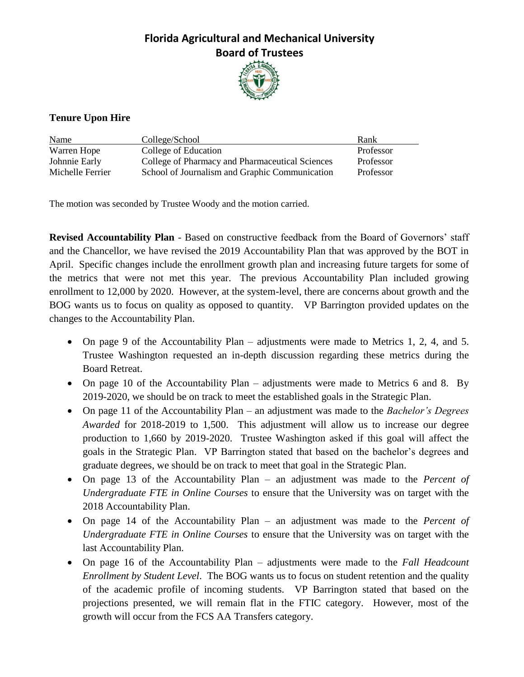

### **Tenure Upon Hire**

| Name             | College/School                                  | Rank      |
|------------------|-------------------------------------------------|-----------|
| Warren Hope      | College of Education                            | Professor |
| Johnnie Early    | College of Pharmacy and Pharmaceutical Sciences | Professor |
| Michelle Ferrier | School of Journalism and Graphic Communication  | Professor |

The motion was seconded by Trustee Woody and the motion carried.

**Revised Accountability Plan** - Based on constructive feedback from the Board of Governors' staff and the Chancellor, we have revised the 2019 Accountability Plan that was approved by the BOT in April. Specific changes include the enrollment growth plan and increasing future targets for some of the metrics that were not met this year. The previous Accountability Plan included growing enrollment to 12,000 by 2020. However, at the system-level, there are concerns about growth and the BOG wants us to focus on quality as opposed to quantity. VP Barrington provided updates on the changes to the Accountability Plan.

- On page 9 of the Accountability Plan adjustments were made to Metrics 1, 2, 4, and 5. Trustee Washington requested an in-depth discussion regarding these metrics during the Board Retreat.
- On page 10 of the Accountability Plan adjustments were made to Metrics 6 and 8. By 2019-2020, we should be on track to meet the established goals in the Strategic Plan.
- On page 11 of the Accountability Plan an adjustment was made to the *Bachelor's Degrees Awarded* for 2018-2019 to 1,500. This adjustment will allow us to increase our degree production to 1,660 by 2019-2020. Trustee Washington asked if this goal will affect the goals in the Strategic Plan. VP Barrington stated that based on the bachelor's degrees and graduate degrees, we should be on track to meet that goal in the Strategic Plan.
- On page 13 of the Accountability Plan an adjustment was made to the *Percent of Undergraduate FTE in Online Courses* to ensure that the University was on target with the 2018 Accountability Plan.
- On page 14 of the Accountability Plan an adjustment was made to the *Percent of Undergraduate FTE in Online Courses* to ensure that the University was on target with the last Accountability Plan.
- On page 16 of the Accountability Plan adjustments were made to the *Fall Headcount Enrollment by Student Level*. The BOG wants us to focus on student retention and the quality of the academic profile of incoming students. VP Barrington stated that based on the projections presented, we will remain flat in the FTIC category. However, most of the growth will occur from the FCS AA Transfers category.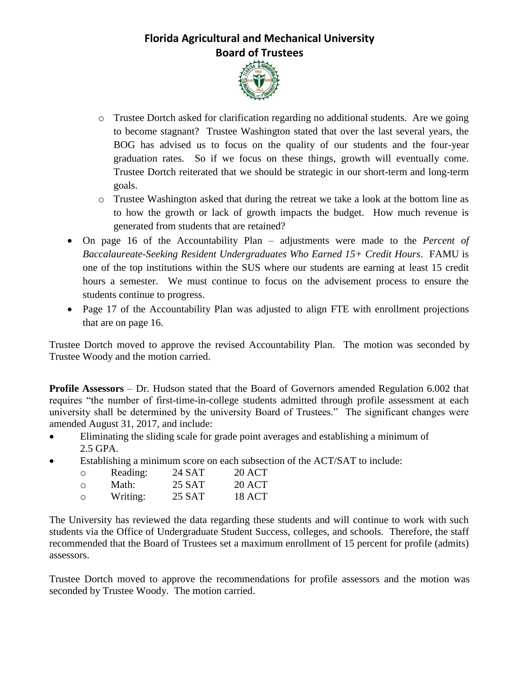

- o Trustee Dortch asked for clarification regarding no additional students. Are we going to become stagnant? Trustee Washington stated that over the last several years, the BOG has advised us to focus on the quality of our students and the four-year graduation rates. So if we focus on these things, growth will eventually come. Trustee Dortch reiterated that we should be strategic in our short-term and long-term goals.
- o Trustee Washington asked that during the retreat we take a look at the bottom line as to how the growth or lack of growth impacts the budget. How much revenue is generated from students that are retained?
- On page 16 of the Accountability Plan adjustments were made to the *Percent of Baccalaureate-Seeking Resident Undergraduates Who Earned 15+ Credit Hours*. FAMU is one of the top institutions within the SUS where our students are earning at least 15 credit hours a semester. We must continue to focus on the advisement process to ensure the students continue to progress.
- Page 17 of the Accountability Plan was adjusted to align FTE with enrollment projections that are on page 16.

Trustee Dortch moved to approve the revised Accountability Plan. The motion was seconded by Trustee Woody and the motion carried.

**Profile Assessors** – Dr. Hudson stated that the Board of Governors amended Regulation 6.002 that requires "the number of first-time-in-college students admitted through profile assessment at each university shall be determined by the university Board of Trustees." The significant changes were amended August 31, 2017, and include:

- Eliminating the sliding scale for grade point averages and establishing a minimum of 2.5 GPA.
- Establishing a minimum score on each subsection of the ACT/SAT to include:

| $\circ$ | Reading: | 24 SAT | 20 ACT |
|---------|----------|--------|--------|
| ∩       | Math:    | 25 SAT | 20 ACT |
| $\circ$ | Writing: | 25 SAT | 18 ACT |

The University has reviewed the data regarding these students and will continue to work with such students via the Office of Undergraduate Student Success, colleges, and schools. Therefore, the staff recommended that the Board of Trustees set a maximum enrollment of 15 percent for profile (admits) assessors.

Trustee Dortch moved to approve the recommendations for profile assessors and the motion was seconded by Trustee Woody. The motion carried.